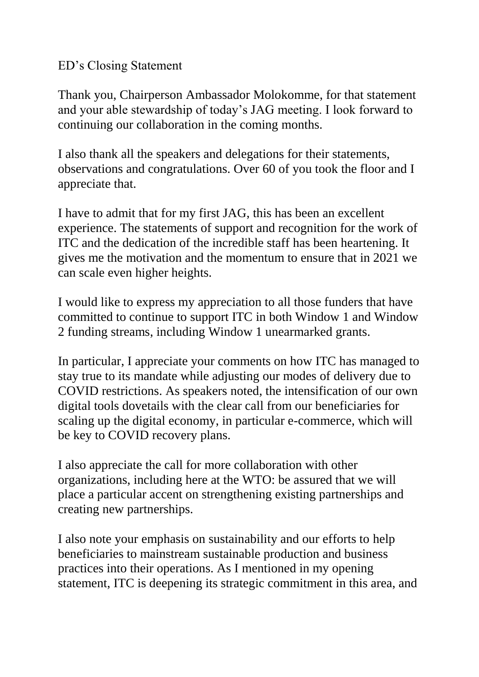ED's Closing Statement

Thank you, Chairperson Ambassador Molokomme, for that statement and your able stewardship of today's JAG meeting. I look forward to continuing our collaboration in the coming months.

I also thank all the speakers and delegations for their statements, observations and congratulations. Over 60 of you took the floor and I appreciate that.

I have to admit that for my first JAG, this has been an excellent experience. The statements of support and recognition for the work of ITC and the dedication of the incredible staff has been heartening. It gives me the motivation and the momentum to ensure that in 2021 we can scale even higher heights.

I would like to express my appreciation to all those funders that have committed to continue to support ITC in both Window 1 and Window 2 funding streams, including Window 1 unearmarked grants.

In particular, I appreciate your comments on how ITC has managed to stay true to its mandate while adjusting our modes of delivery due to COVID restrictions. As speakers noted, the intensification of our own digital tools dovetails with the clear call from our beneficiaries for scaling up the digital economy, in particular e-commerce, which will be key to COVID recovery plans.

I also appreciate the call for more collaboration with other organizations, including here at the WTO: be assured that we will place a particular accent on strengthening existing partnerships and creating new partnerships.

I also note your emphasis on sustainability and our efforts to help beneficiaries to mainstream sustainable production and business practices into their operations. As I mentioned in my opening statement, ITC is deepening its strategic commitment in this area, and